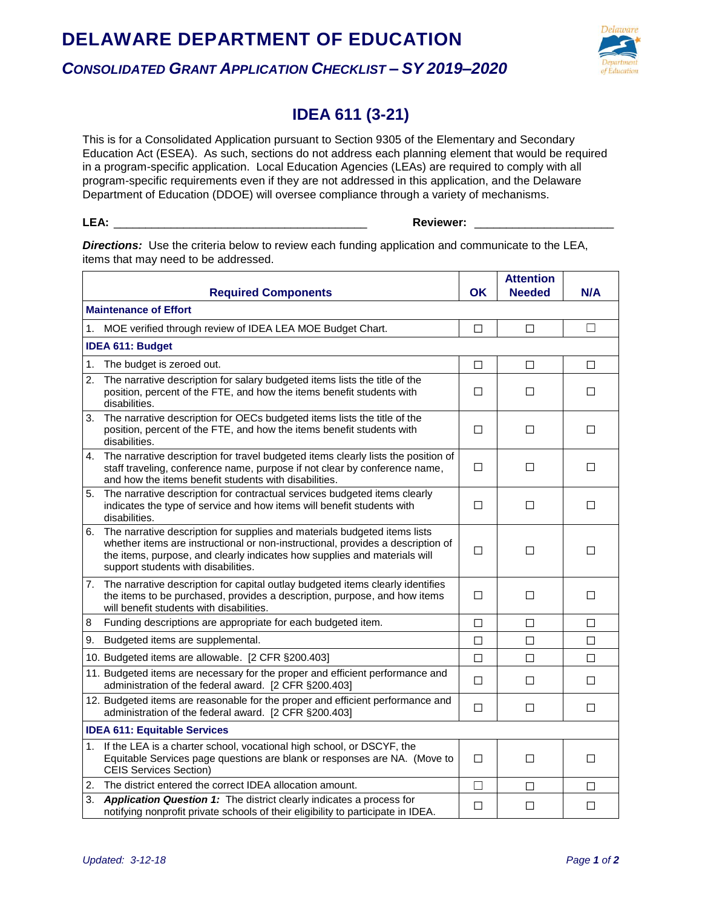## **DELAWARE DEPARTMENT OF EDUCATION** *CONSOLIDATED GRANT APPLICATION CHECKLIST – SY 2019–2020*



## **IDEA 611 (3-21)**

This is for a Consolidated Application pursuant to Section 9305 of the Elementary and Secondary Education Act (ESEA). As such, sections do not address each planning element that would be required in a program-specific application. Local Education Agencies (LEAs) are required to comply with all program-specific requirements even if they are not addressed in this application, and the Delaware Department of Education (DDOE) will oversee compliance through a variety of mechanisms.

## **LEA:** \_\_\_\_\_\_\_\_\_\_\_\_\_\_\_\_\_\_\_\_\_\_\_\_\_\_\_\_\_\_\_\_\_\_\_\_\_\_\_\_ **Reviewer:** \_\_\_\_\_\_\_\_\_\_\_\_\_\_\_\_\_\_\_\_\_\_

**Directions:** Use the criteria below to review each funding application and communicate to the LEA, items that may need to be addressed.

|                                     | <b>Required Components</b>                                                                                                                                                                                                                                                          | OK.    | <b>Attention</b><br><b>Needed</b> | N/A    |  |  |
|-------------------------------------|-------------------------------------------------------------------------------------------------------------------------------------------------------------------------------------------------------------------------------------------------------------------------------------|--------|-----------------------------------|--------|--|--|
| <b>Maintenance of Effort</b>        |                                                                                                                                                                                                                                                                                     |        |                                   |        |  |  |
|                                     | 1. MOE verified through review of IDEA LEA MOE Budget Chart.                                                                                                                                                                                                                        | П      | П                                 | $\Box$ |  |  |
| <b>IDEA 611: Budget</b>             |                                                                                                                                                                                                                                                                                     |        |                                   |        |  |  |
| 1.                                  | The budget is zeroed out.                                                                                                                                                                                                                                                           | $\Box$ | $\Box$                            | □      |  |  |
| 2.                                  | The narrative description for salary budgeted items lists the title of the<br>position, percent of the FTE, and how the items benefit students with<br>disabilities.                                                                                                                | П      | П                                 | □      |  |  |
|                                     | 3. The narrative description for OECs budgeted items lists the title of the<br>position, percent of the FTE, and how the items benefit students with<br>disabilities.                                                                                                               | □      | □                                 | □      |  |  |
|                                     | 4. The narrative description for travel budgeted items clearly lists the position of<br>staff traveling, conference name, purpose if not clear by conference name,<br>and how the items benefit students with disabilities.                                                         | □      | $\Box$                            | □      |  |  |
|                                     | 5. The narrative description for contractual services budgeted items clearly<br>indicates the type of service and how items will benefit students with<br>disabilities.                                                                                                             | $\Box$ | $\Box$                            | $\Box$ |  |  |
|                                     | 6. The narrative description for supplies and materials budgeted items lists<br>whether items are instructional or non-instructional, provides a description of<br>the items, purpose, and clearly indicates how supplies and materials will<br>support students with disabilities. | □      | □                                 | □      |  |  |
|                                     | 7. The narrative description for capital outlay budgeted items clearly identifies<br>the items to be purchased, provides a description, purpose, and how items<br>will benefit students with disabilities.                                                                          | П      | П                                 | □      |  |  |
| 8                                   | Funding descriptions are appropriate for each budgeted item.                                                                                                                                                                                                                        | П      | $\Box$                            | □      |  |  |
| 9.                                  | Budgeted items are supplemental.                                                                                                                                                                                                                                                    | □      | $\Box$                            | $\Box$ |  |  |
|                                     | 10. Budgeted items are allowable. [2 CFR §200.403]                                                                                                                                                                                                                                  | $\Box$ | П                                 | П      |  |  |
|                                     | 11. Budgeted items are necessary for the proper and efficient performance and<br>administration of the federal award. [2 CFR §200.403]                                                                                                                                              | П      | П                                 | □      |  |  |
|                                     | 12. Budgeted items are reasonable for the proper and efficient performance and<br>administration of the federal award. [2 CFR §200.403]                                                                                                                                             | $\Box$ | □                                 | □      |  |  |
| <b>IDEA 611: Equitable Services</b> |                                                                                                                                                                                                                                                                                     |        |                                   |        |  |  |
| 1.                                  | If the LEA is a charter school, vocational high school, or DSCYF, the<br>Equitable Services page questions are blank or responses are NA. (Move to<br><b>CEIS Services Section)</b>                                                                                                 | П      | П                                 | $\Box$ |  |  |
| 2.                                  | The district entered the correct IDEA allocation amount.                                                                                                                                                                                                                            | $\Box$ | □                                 | □      |  |  |
| 3.                                  | <b>Application Question 1:</b> The district clearly indicates a process for<br>notifying nonprofit private schools of their eligibility to participate in IDEA.                                                                                                                     | П      | $\Box$                            | □      |  |  |